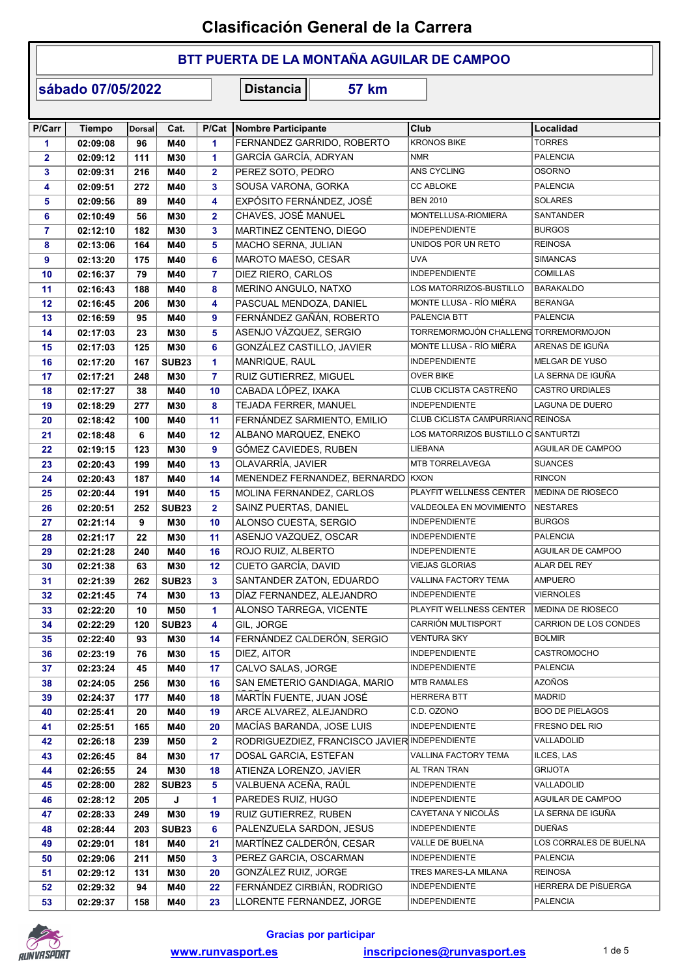### BTT PUERTA DE LA MONTAÑA AGUILAR DE CAMPOO

sábado 07/05/2022

| P/Carr         | <b>Tiempo</b> | <b>Dorsal</b> | Cat.              | P/Cat                   | Nombre Participante                           | Club                                 | Localidad              |
|----------------|---------------|---------------|-------------------|-------------------------|-----------------------------------------------|--------------------------------------|------------------------|
| 1              | 02:09:08      | 96            | M40               | $\mathbf{1}$            | FERNANDEZ GARRIDO, ROBERTO                    | <b>KRONOS BIKE</b>                   | <b>TORRES</b>          |
| $\mathbf{2}$   | 02:09:12      | 111           | M30               | $\mathbf{1}$            | GARCÍA GARCÍA, ADRYAN                         | <b>NMR</b>                           | <b>PALENCIA</b>        |
| 3              | 02:09:31      | 216           | M40               | $\overline{2}$          | PEREZ SOTO, PEDRO                             | ANS CYCLING                          | <b>OSORNO</b>          |
| 4              | 02:09:51      | 272           | M40               | 3                       | SOUSA VARONA, GORKA                           | <b>CC ABLOKE</b>                     | <b>PALENCIA</b>        |
| 5              | 02:09:56      | 89            | M40               | 4                       | EXPÓSITO FERNÁNDEZ, JOSÉ                      | <b>BEN 2010</b>                      | <b>SOLARES</b>         |
| 6              | 02:10:49      | 56            | M30               | $\overline{\mathbf{2}}$ | CHAVES, JOSÉ MANUEL                           | MONTELLUSA-RIOMIERA                  | SANTANDER              |
| $\overline{7}$ | 02:12:10      | 182           | M30               | 3                       | MARTINEZ CENTENO, DIEGO                       | <b>INDEPENDIENTE</b>                 | <b>BURGOS</b>          |
| 8              | 02:13:06      | 164           | M40               | 5                       | MACHO SERNA, JULIAN                           | UNIDOS POR UN RETO                   | <b>REINOSA</b>         |
| 9              | 02:13:20      | 175           | M40               | 6                       | MAROTO MAESO, CESAR                           | UVA                                  | <b>SIMANCAS</b>        |
| 10             | 02:16:37      | 79            | M40               | $\overline{7}$          | DIEZ RIERO, CARLOS                            | <b>INDEPENDIENTE</b>                 | <b>COMILLAS</b>        |
| 11             | 02:16:43      | 188           | M40               | 8                       | MERINO ANGULO, NATXO                          | LOS MATORRIZOS-BUSTILLO              | <b>BARAKALDO</b>       |
| 12             | 02:16:45      | 206           | M30               | 4                       | PASCUAL MENDOZA, DANIEL                       | MONTE LLUSA - RÍO MIÉRA              | <b>BERANGA</b>         |
| 13             | 02:16:59      | 95            | M40               | 9                       | FERNÁNDEZ GAÑÁN, ROBERTO                      | PALENCIA BTT                         | <b>PALENCIA</b>        |
| 14             | 02:17:03      | 23            | M30               | 5                       | ASENJO VÁZQUEZ, SERGIO                        | TORREMORMOJÓN CHALLENG TORREMORMOJON |                        |
| 15             | 02:17:03      | 125           | M30               | 6                       | GONZÁLEZ CASTILLO, JAVIER                     | MONTE LLUSA - RÍO MIÉRA              | ARENAS DE IGUÑA        |
| 16             | 02:17:20      | 167           | <b>SUB23</b>      | 1                       | MANRIQUE, RAUL                                | <b>INDEPENDIENTE</b>                 | MELGAR DE YUSO         |
| 17             | 02:17:21      | 248           | M30               | 7                       | RUIZ GUTIERREZ, MIGUEL                        | OVER BIKE                            | LA SERNA DE IGUÑA      |
| 18             | 02:17:27      | 38            | M40               | 10                      | CABADA LÓPEZ, IXAKA                           | CLUB CICLISTA CASTREÑO               | <b>CASTRO URDIALES</b> |
| 19             | 02:18:29      | 277           | M30               | 8                       | TEJADA FERRER, MANUEL                         | <b>INDEPENDIENTE</b>                 | LAGUNA DE DUERO        |
| 20             | 02:18:42      | 100           | M40               | 11                      | FERNÁNDEZ SARMIENTO, EMILIO                   | CLUB CICLISTA CAMPURRIANO REINOSA    |                        |
| 21             | 02:18:48      | 6             | M40               | 12                      | ALBANO MARQUEZ, ENEKO                         | LOS MATORRIZOS BUSTILLO C SANTURTZI  |                        |
| 22             | 02:19:15      | 123           | M30               | 9                       | GÓMEZ CAVIEDES, RUBEN                         | LIEBANA                              | AGUILAR DE CAMPOO      |
| 23             | 02:20:43      | 199           | M40               | 13                      | OLAVARRÍA, JAVIER                             | MTB TORRELAVEGA                      | <b>SUANCES</b>         |
| 24             | 02:20:43      | 187           | M40               | 14                      | MENENDEZ FERNANDEZ, BERNARDO KXON             |                                      | <b>RINCON</b>          |
| 25             | 02:20:44      | 191           | M40               | 15                      | MOLINA FERNANDEZ, CARLOS                      | PLAYFIT WELLNESS CENTER              | MEDINA DE RIOSECO      |
| 26             | 02:20:51      | 252           | <b>SUB23</b>      | $\overline{2}$          | SAINZ PUERTAS, DANIEL                         | VALDEOLEA EN MOVIMIENTO              | <b>NESTARES</b>        |
| 27             | 02:21:14      | 9             | M30               | 10                      | ALONSO CUESTA, SERGIO                         | <b>INDEPENDIENTE</b>                 | <b>BURGOS</b>          |
| 28             | 02:21:17      | 22            | M30               | 11                      | ASENJO VAZQUEZ, OSCAR                         | <b>INDEPENDIENTE</b>                 | <b>PALENCIA</b>        |
| 29             | 02:21:28      | 240           | M40               | 16                      | ROJO RUIZ, ALBERTO                            | <b>INDEPENDIENTE</b>                 | AGUILAR DE CAMPOO      |
| 30             | 02:21:38      | 63            | M30               | 12                      | CUETO GARCÍA, DAVID                           | <b>VIEJAS GLORIAS</b>                | ALAR DEL REY           |
| 31             | 02:21:39      | 262           | <b>SUB23</b>      | 3                       | SANTANDER ZATON, EDUARDO                      | VALLINA FACTORY TEMA                 | <b>AMPUERO</b>         |
| 32             | 02:21:45      | 74            | M30               | 13                      | DÍAZ FERNANDEZ, ALEJANDRO                     | <b>INDEPENDIENTE</b>                 | <b>VIERNOLES</b>       |
| 33             | 02:22:20      | 10            | M50               | $\mathbf{1}$            | ALONSO TARREGA, VICENTE                       | PLAYFIT WELLNESS CENTER              | MEDINA DE RIOSECO      |
| 34             | 02:22:29      | 120           | <b>SUB23</b>      | 4                       | GIL, JORGE                                    | CARRIÓN MULTISPORT                   | CARRION DE LOS CONDES  |
| 35             | 02:22:40      | 93            | M30               | 14                      | FERNÁNDEZ CALDERÓN, SERGIO                    | <b>VENTURA SKY</b>                   | <b>BOLMIR</b>          |
| 36             | 02:23:19      | 76            | M30               | 15                      | DIEZ, AITOR                                   | <b>INDEPENDIENTE</b>                 | CASTROMOCHO            |
| 37             | 02:23:24      | 45            | M40               | 17                      | CALVO SALAS, JORGE                            | <b>INDEPENDIENTE</b>                 | <b>PALENCIA</b>        |
| 38             | 02:24:05      | 256           | M30               | 16                      | SAN EMETERIO GANDIAGA, MARIO                  | <b>MTB RAMALES</b>                   | <b>AZOÑOS</b>          |
| 39             | 02:24:37      | 177           | M40               | 18                      | MARTÍN FUENTE, JUAN JOSÉ                      | HERRERA BTT                          | <b>MADRID</b>          |
| 40             | 02:25:41      | 20            | M40               | 19                      | ARCE ALVAREZ, ALEJANDRO                       | C.D. OZONO                           | <b>BOO DE PIELAGOS</b> |
| 41             | 02:25:51      | 165           | M40               | 20                      | MACÍAS BARANDA, JOSE LUIS                     | INDEPENDIENTE                        | FRESNO DEL RIO         |
| 42             | 02:26:18      | 239           | M50               | $\mathbf{2}$            | RODRIGUEZDIEZ, FRANCISCO JAVIER INDEPENDIENTE |                                      | VALLADOLID             |
| 43             | 02:26:45      | 84            | M30               | 17                      | DOSAL GARCIA, ESTEFAN                         | VALLINA FACTORY TEMA                 | ILCES, LAS             |
| 44             | 02:26:55      | 24            | M30               | 18                      | ATIENZA LORENZO, JAVIER                       | AL TRAN TRAN                         | GRIJOTA                |
| 45             | 02:28:00      | 282           | SUB <sub>23</sub> | 5                       | VALBUENA ACEÑA, RAÚL                          | <b>INDEPENDIENTE</b>                 | VALLADOLID             |
| 46             | 02:28:12      | 205           | J                 | 1.                      | PAREDES RUIZ, HUGO                            | <b>INDEPENDIENTE</b>                 | AGUILAR DE CAMPOO      |
| 47             | 02:28:33      | 249           | <b>M30</b>        | 19                      | RUIZ GUTIERREZ, RUBEN                         | CAYETANA Y NICOLÁS                   | LA SERNA DE IGUÑA      |
| 48             | 02:28:44      | 203           | <b>SUB23</b>      | 6                       | PALENZUELA SARDON, JESUS                      | <b>INDEPENDIENTE</b>                 | DUEÑAS                 |
| 49             | 02:29:01      | 181           | M40               | 21                      | MARTÍNEZ CALDERÓN, CESAR                      | VALLE DE BUELNA                      | LOS CORRALES DE BUELNA |
| 50             | 02:29:06      | 211           | M50               | 3                       | PEREZ GARCIA, OSCARMAN                        | <b>INDEPENDIENTE</b>                 | <b>PALENCIA</b>        |
| 51             | 02:29:12      | 131           | M30               | 20                      | GONZÁLEZ RUIZ, JORGE                          | TRES MARES-LA MILANA                 | <b>REINOSA</b>         |
| 52             | 02:29:32      | 94            | M40               | 22                      | FERNÁNDEZ CIRBIÁN, RODRIGO                    | INDEPENDIENTE                        | HERRERA DE PISUERGA    |
| 53             | 02:29:37      | 158           | M40               | 23                      | LLORENTE FERNANDEZ, JORGE                     | <b>INDEPENDIENTE</b>                 | <b>PALENCIA</b>        |

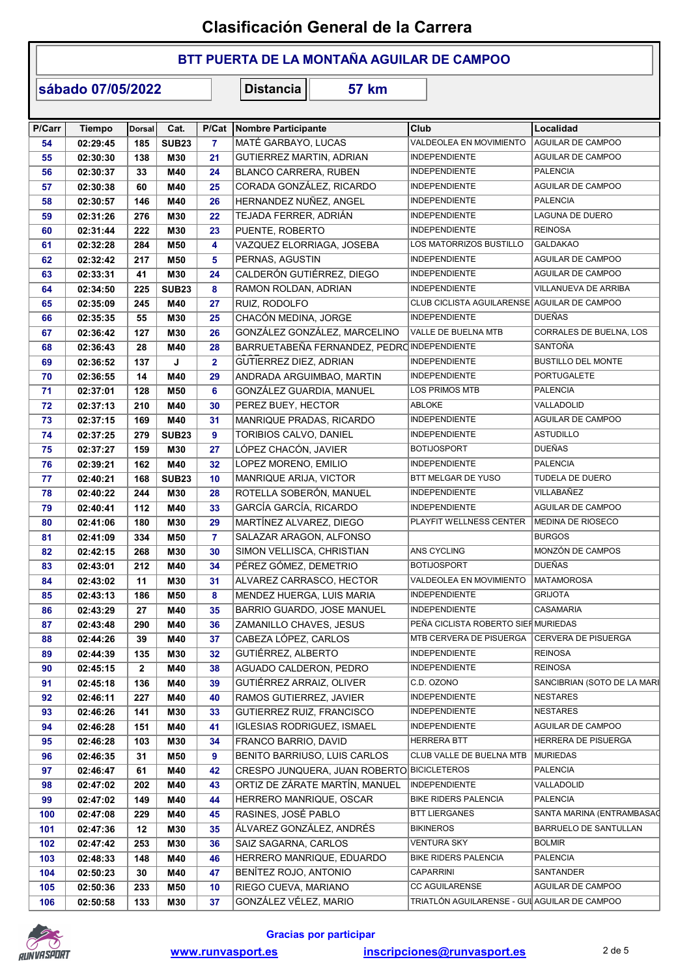### BTT PUERTA DE LA MONTAÑA AGUILAR DE CAMPOO

sábado 07/05/2022

| P/Carr | <b>Tiempo</b> | Dorsal       | Cat.         | P/Cat          | Nombre Participante                         | Club                                         | Localidad                   |
|--------|---------------|--------------|--------------|----------------|---------------------------------------------|----------------------------------------------|-----------------------------|
| 54     | 02:29:45      | 185          | <b>SUB23</b> | $\overline{7}$ | MATÉ GARBAYO, LUCAS                         | VALDEOLEA EN MOVIMIENTO                      | AGUILAR DE CAMPOO           |
| 55     | 02:30:30      | 138          | M30          | 21             | GUTIERREZ MARTIN, ADRIAN                    | <b>INDEPENDIENTE</b>                         | AGUILAR DE CAMPOO           |
| 56     | 02:30:37      | 33           | M40          | 24             | <b>BLANCO CARRERA, RUBEN</b>                | <b>INDEPENDIENTE</b>                         | <b>PALENCIA</b>             |
| 57     | 02:30:38      | 60           | M40          | 25             | CORADA GONZÁLEZ, RICARDO                    | <b>INDEPENDIENTE</b>                         | AGUILAR DE CAMPOO           |
| 58     | 02:30:57      | 146          | M40          | 26             | HERNANDEZ NUÑEZ, ANGEL                      | <b>INDEPENDIENTE</b>                         | <b>PALENCIA</b>             |
| 59     | 02:31:26      | 276          | M30          | 22             | TEJADA FERRER, ADRIÁN                       | <b>INDEPENDIENTE</b>                         | LAGUNA DE DUERO             |
| 60     | 02:31:44      | 222          | M30          | 23             | PUENTE, ROBERTO                             | <b>INDEPENDIENTE</b>                         | <b>REINOSA</b>              |
| 61     | 02:32:28      | 284          | M50          | 4              | VAZQUEZ ELORRIAGA, JOSEBA                   | LOS MATORRIZOS BUSTILLO                      | <b>GALDAKAO</b>             |
| 62     | 02:32:42      | 217          | M50          | 5              | PERNAS, AGUSTIN                             | <b>INDEPENDIENTE</b>                         | AGUILAR DE CAMPOO           |
| 63     | 02:33:31      | 41           | M30          | 24             | CALDERÓN GUTIÉRREZ, DIEGO                   | <b>INDEPENDIENTE</b>                         | AGUILAR DE CAMPOO           |
| 64     | 02:34:50      | 225          | <b>SUB23</b> | 8              | RAMON ROLDAN, ADRIAN                        | <b>INDEPENDIENTE</b>                         | VILLANUEVA DE ARRIBA        |
| 65     | 02:35:09      | 245          | M40          | 27             | RUIZ, RODOLFO                               | CLUB CICLISTA AGUILARENSE AGUILAR DE CAMPOO  |                             |
| 66     | 02:35:35      | 55           | M30          | 25             | CHACÓN MEDINA, JORGE                        | <b>INDEPENDIENTE</b>                         | <b>DUEÑAS</b>               |
| 67     | 02:36:42      | 127          | M30          | 26             | GONZÁLEZ GONZÁLEZ, MARCELINO                | VALLE DE BUELNA MTB                          | CORRALES DE BUELNA, LOS     |
| 68     | 02:36:43      | 28           | M40          | 28             | BARRUETABEÑA FERNANDEZ, PEDRO INDEPENDIENTE |                                              | SANTOÑA                     |
| 69     | 02:36:52      | 137          | J            | $\overline{2}$ | GUTIERREZ DIEZ, ADRIAN                      | <b>INDEPENDIENTE</b>                         | <b>BUSTILLO DEL MONTE</b>   |
| 70     | 02:36:55      | 14           | M40          | 29             | ANDRADA ARGUIMBAO, MARTIN                   | <b>INDEPENDIENTE</b>                         | <b>PORTUGALETE</b>          |
| 71     | 02:37:01      | 128          | M50          | 6              | GONZÁLEZ GUARDIA, MANUEL                    | LOS PRIMOS MTB                               | <b>PALENCIA</b>             |
| 72     | 02:37:13      | 210          | M40          | 30             | PEREZ BUEY, HECTOR                          | ABLOKE                                       | VALLADOLID                  |
| 73     | 02:37:15      | 169          | M40          | 31             | MANRIQUE PRADAS, RICARDO                    | <b>INDEPENDIENTE</b>                         | AGUILAR DE CAMPOO           |
|        |               |              | <b>SUB23</b> | 9              | TORIBIOS CALVO, DANIEL                      | <b>INDEPENDIENTE</b>                         | <b>ASTUDILLO</b>            |
| 74     | 02:37:25      | 279          |              |                |                                             |                                              | <b>DUEÑAS</b>               |
| 75     | 02:37:27      | 159          | M30          | 27             | LÓPEZ CHACÓN, JAVIER                        | <b>BOTIJOSPORT</b>                           |                             |
| 76     | 02:39:21      | 162          | M40          | 32             | LOPEZ MORENO, EMILIO                        | <b>INDEPENDIENTE</b>                         | <b>PALENCIA</b>             |
| 77     | 02:40:21      | 168          | <b>SUB23</b> | 10             | MANRIQUE ARIJA, VICTOR                      | BTT MELGAR DE YUSO                           | TUDELA DE DUERO             |
| 78     | 02:40:22      | 244          | M30          | 28             | ROTELLA SOBERÓN, MANUEL                     | <b>INDEPENDIENTE</b>                         | VILLABAÑEZ                  |
| 79     | 02:40:41      | 112          | M40          | 33             | GARCÍA GARCÍA, RICARDO                      | <b>INDEPENDIENTE</b>                         | AGUILAR DE CAMPOO           |
| 80     | 02:41:06      | 180          | M30          | 29             | MARTÍNEZ ALVAREZ, DIEGO                     | PLAYFIT WELLNESS CENTER                      | <b>MEDINA DE RIOSECO</b>    |
| 81     | 02:41:09      | 334          | M50          | $\overline{7}$ | SALAZAR ARAGON, ALFONSO                     |                                              | <b>BURGOS</b>               |
| 82     | 02:42:15      | 268          | M30          | 30             | SIMON VELLISCA, CHRISTIAN                   | ANS CYCLING                                  | MONZÓN DE CAMPOS            |
| 83     | 02:43:01      | 212          | M40          | 34             | PÉREZ GÓMEZ, DEMETRIO                       | <b>BOTIJOSPORT</b>                           | <b>DUEÑAS</b>               |
| 84     | 02:43:02      | 11           | M30          | 31             | ALVAREZ CARRASCO, HECTOR                    | VALDEOLEA EN MOVIMIENTO                      | <b>MATAMOROSA</b>           |
| 85     | 02:43:13      | 186          | M50          | 8              | MENDEZ HUERGA, LUIS MARIA                   | <b>INDEPENDIENTE</b>                         | <b>GRIJOTA</b>              |
| 86     | 02:43:29      | 27           | M40          | 35             | BARRIO GUARDO, JOSE MANUEL                  | <b>INDEPENDIENTE</b>                         | <b>CASAMARIA</b>            |
| 87     | 02:43:48      | 290          | M40          | 36             | ZAMANILLO CHAVES, JESUS                     | PEÑA CICLISTA ROBERTO SIEF MURIEDAS          |                             |
| 88     | 02:44:26      | 39           | M40          | 37             | CABEZA LÓPEZ, CARLOS                        | MTB CERVERA DE PISUERGA                      | CERVERA DE PISUERGA         |
| 89     | 02:44:39      | 135          | M30          | 32             | GUTIÉRREZ, ALBERTO                          | <b>INDEPENDIENTE</b>                         | <b>REINOSA</b>              |
| 90     | 02:45:15      | $\mathbf{2}$ | M40          | 38             | AGUADO CALDERON, PEDRO                      | <b>INDEPENDIENTE</b>                         | <b>REINOSA</b>              |
| 91     | 02:45:18      | 136          | M40          | 39             | GUTIÉRREZ ARRAIZ, OLIVER                    | C.D. OZONO                                   | SANCIBRIAN (SOTO DE LA MARI |
| 92     | 02:46:11      | 227          | M40          | 40             | RAMOS GUTIERREZ, JAVIER                     | <b>INDEPENDIENTE</b>                         | <b>NESTARES</b>             |
| 93     | 02:46:26      | 141          | M30          | 33             | GUTIERREZ RUIZ, FRANCISCO                   | <b>INDEPENDIENTE</b>                         | <b>NESTARES</b>             |
| 94     | 02:46:28      | 151          | M40          | 41             | <b>IGLESIAS RODRIGUEZ, ISMAEL</b>           | <b>INDEPENDIENTE</b>                         | AGUILAR DE CAMPOO           |
| 95     | 02:46:28      | 103          | M30          | 34             | FRANCO BARRIO, DAVID                        | <b>HERRERA BTT</b>                           | HERRERA DE PISUERGA         |
| 96     | 02:46:35      | 31           | M50          | 9              | BENITO BARRIUSO, LUIS CARLOS                | CLUB VALLE DE BUELNA MTB                     | MURIEDAS                    |
| 97     | 02:46:47      | 61           | M40          | 42             | CRESPO JUNQUERA, JUAN ROBERTO BICICLETEROS  |                                              | <b>PALENCIA</b>             |
| 98     | 02:47:02      | 202          | M40          | 43             | ORTIZ DE ZÁRATE MARTÍN, MANUEL              | <b>INDEPENDIENTE</b>                         | VALLADOLID                  |
| 99     | 02:47:02      | 149          | M40          | 44             | HERRERO MANRIQUE, OSCAR                     | <b>BIKE RIDERS PALENCIA</b>                  | <b>PALENCIA</b>             |
| 100    | 02:47:08      | 229          | M40          | 45             | RASINES, JOSÉ PABLO                         | <b>BTT LIERGANES</b>                         | SANTA MARINA (ENTRAMBASAC   |
| 101    | 02:47:36      | 12           | M30          | 35             | ÁLVAREZ GONZÁLEZ, ANDRÉS                    | <b>BIKINEROS</b>                             | BARRUELO DE SANTULLAN       |
|        |               |              |              |                | SAIZ SAGARNA, CARLOS                        | <b>VENTURA SKY</b>                           | <b>BOLMIR</b>               |
| 102    | 02:47:42      | 253          | M30          | 36             |                                             | <b>BIKE RIDERS PALENCIA</b>                  | <b>PALENCIA</b>             |
| 103    | 02:48:33      | 148          | M40          | 46             | HERRERO MANRIQUE, EDUARDO                   |                                              |                             |
| 104    | 02:50:23      | 30           | M40          | 47             | BENÍTEZ ROJO, ANTONIO                       | CAPARRINI                                    | SANTANDER                   |
| 105    | 02:50:36      | 233          | M50          | 10             | RIEGO CUEVA, MARIANO                        | <b>CC AGUILARENSE</b>                        | AGUILAR DE CAMPOO           |
| 106    | 02:50:58      | 133          | M30          | 37             | GONZÁLEZ VÉLEZ, MARIO                       | TRIATLÓN AGUILARENSE - GUI AGUILAR DE CAMPOO |                             |

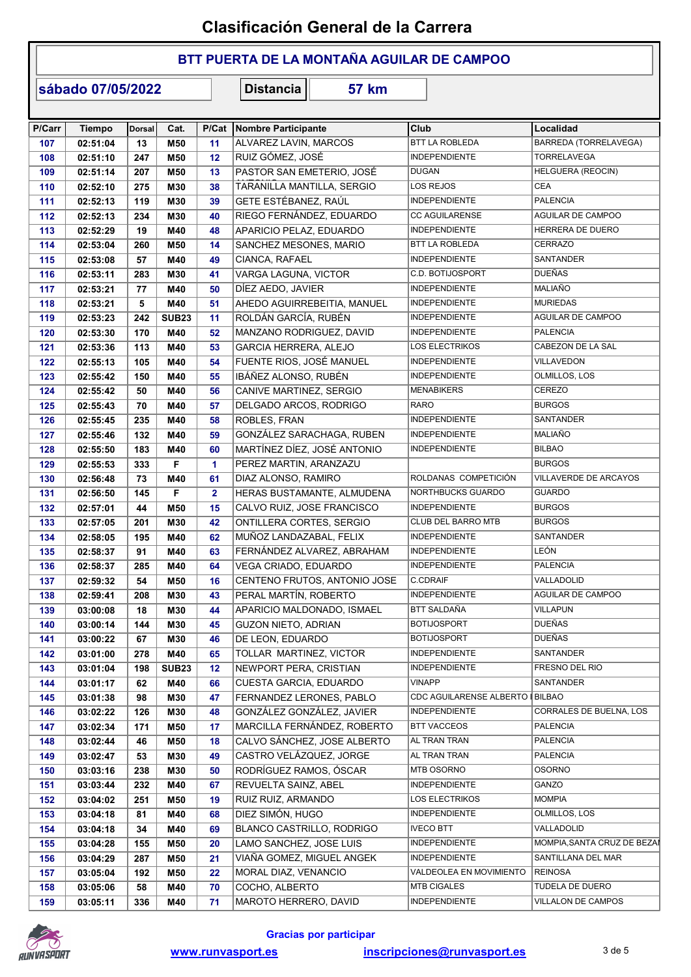### BTT PUERTA DE LA MONTAÑA AGUILAR DE CAMPOO

sábado 07/05/2022

| P/Carr | <b>Tiempo</b> | Dorsal | Cat.         | P/Cat                | Nombre Participante           | Club                      | Localidad                   |
|--------|---------------|--------|--------------|----------------------|-------------------------------|---------------------------|-----------------------------|
| 107    | 02:51:04      | 13     | M50          | 11                   | ALVAREZ LAVIN, MARCOS         | <b>BTT LA ROBLEDA</b>     | BARREDA (TORRELAVEGA)       |
| 108    | 02:51:10      | 247    | M50          | 12                   | RUIZ GÓMEZ, JOSÉ              | <b>INDEPENDIENTE</b>      | TORRELAVEGA                 |
| 109    | 02:51:14      | 207    | M50          | 13                   | PASTOR SAN EMETERIO, JOSÉ     | <b>DUGAN</b>              | HELGUERA (REOCIN)           |
| 110    | 02:52:10      | 275    | M30          | 38                   | TARANILLA MANTILLA, SERGIO    | LOS REJOS                 | <b>CEA</b>                  |
| 111    | 02:52:13      | 119    | M30          | 39                   | GETE ESTÉBANEZ, RAÚL          | INDEPENDIENTE             | <b>PALENCIA</b>             |
| 112    | 02:52:13      | 234    | M30          | 40                   | RIEGO FERNÁNDEZ, EDUARDO      | <b>CC AGUILARENSE</b>     | AGUILAR DE CAMPOO           |
| 113    | 02:52:29      | 19     | M40          | 48                   | APARICIO PELAZ, EDUARDO       | <b>INDEPENDIENTE</b>      | HERRERA DE DUERO            |
| 114    | 02:53:04      | 260    | M50          | 14                   | SANCHEZ MESONES, MARIO        | BTT LA ROBLEDA            | <b>CERRAZO</b>              |
| 115    | 02:53:08      | 57     | M40          | 49                   | CIANCA, RAFAEL                | <b>INDEPENDIENTE</b>      | SANTANDER                   |
| 116    | 02:53:11      | 283    | M30          | 41                   | VARGA LAGUNA, VICTOR          | C.D. BOTIJOSPORT          | <b>DUEÑAS</b>               |
| 117    | 02:53:21      | 77     | M40          | 50                   | DÍEZ AEDO, JAVIER             | <b>INDEPENDIENTE</b>      | MALIAÑO                     |
| 118    | 02:53:21      | 5      | M40          | 51                   | AHEDO AGUIRREBEITIA, MANUEL   | <b>INDEPENDIENTE</b>      | <b>MURIEDAS</b>             |
| 119    | 02:53:23      | 242    | <b>SUB23</b> | 11                   | ROLDÁN GARCÍA, RUBÉN          | <b>INDEPENDIENTE</b>      | AGUILAR DE CAMPOO           |
| 120    | 02:53:30      | 170    | M40          | 52                   | MANZANO RODRIGUEZ, DAVID      | <b>INDEPENDIENTE</b>      | <b>PALENCIA</b>             |
| 121    | 02:53:36      | 113    | M40          | 53                   | GARCIA HERRERA, ALEJO         | LOS ELECTRIKOS            | CABEZON DE LA SAL           |
| 122    | 02:55:13      | 105    | M40          | 54                   | FUENTE RIOS, JOSÉ MANUEL      | INDEPENDIENTE             | VILLAVEDON                  |
| 123    | 02:55:42      | 150    | M40          | 55                   | IBÁÑEZ ALONSO. RUBÉN          | <b>INDEPENDIENTE</b>      | OLMILLOS, LOS               |
| 124    | 02:55:42      | 50     | M40          | 56                   | CANIVE MARTINEZ, SERGIO       | <b>MENABIKERS</b>         | CEREZO                      |
| 125    | 02:55:43      | 70     | M40          | 57                   | DELGADO ARCOS, RODRIGO        | <b>RARO</b>               | <b>BURGOS</b>               |
| 126    | 02:55:45      | 235    | M40          | 58                   | <b>ROBLES, FRAN</b>           | <b>INDEPENDIENTE</b>      | <b>SANTANDER</b>            |
| 127    | 02:55:46      | 132    | M40          | 59                   | GONZÁLEZ SARACHAGA, RUBEN     | <b>INDEPENDIENTE</b>      | MALIAÑO                     |
|        | 02:55:50      | 183    | M40          | 60                   | MARTÍNEZ DÍEZ, JOSÉ ANTONIO   | <b>INDEPENDIENTE</b>      | <b>BILBAO</b>               |
| 128    |               |        | F            |                      |                               |                           | <b>BURGOS</b>               |
| 129    | 02:55:53      | 333    |              | $\blacktriangleleft$ | PEREZ MARTIN, ARANZAZU        | ROLDANAS COMPETICIÓN      |                             |
| 130    | 02:56:48      | 73     | M40          | 61                   | DIAZ ALONSO, RAMIRO           |                           | VILLAVERDE DE ARCAYOS       |
| 131    | 02:56:50      | 145    | F            | $\mathbf{2}$         | HERAS BUSTAMANTE, ALMUDENA    | NORTHBUCKS GUARDO         | <b>GUARDO</b>               |
| 132    | 02:57:01      | 44     | M50          | 15                   | CALVO RUIZ, JOSE FRANCISCO    | <b>INDEPENDIENTE</b>      | <b>BURGOS</b>               |
| 133    | 02:57:05      | 201    | M30          | 42                   | ONTILLERA CORTES, SERGIO      | <b>CLUB DEL BARRO MTB</b> | <b>BURGOS</b>               |
| 134    | 02:58:05      | 195    | M40          | 62                   | MUÑOZ LANDAZABAL, FELIX       | INDEPENDIENTE             | SANTANDER                   |
| 135    | 02:58:37      | 91     | M40          | 63                   | FERNÁNDEZ ALVAREZ, ABRAHAM    | <b>INDEPENDIENTE</b>      | <b>LEÓN</b>                 |
| 136    | 02:58:37      | 285    | M40          | 64                   | <b>VEGA CRIADO, EDUARDO</b>   | <b>INDEPENDIENTE</b>      | <b>PALENCIA</b>             |
| 137    | 02:59:32      | 54     | M50          | 16                   | CENTENO FRUTOS, ANTONIO JOSE  | C.CDRAIF                  | VALLADOLID                  |
| 138    | 02:59:41      | 208    | M30          | 43                   | PERAL MARTÍN, ROBERTO         | <b>INDEPENDIENTE</b>      | AGUILAR DE CAMPOO           |
| 139    | 03:00:08      | 18     | M30          | 44                   | APARICIO MALDONADO, ISMAEL    | BTT SALDAÑA               | <b>VILLAPUN</b>             |
| 140    | 03:00:14      | 144    | M30          | 45                   | <b>GUZON NIETO, ADRIAN</b>    | <b>BOTIJOSPORT</b>        | <b>DUEÑAS</b>               |
| 141    | 03:00:22      | 67     | M30          | 46                   | DE LEON, EDUARDO              | <b>BOTIJOSPORT</b>        | DUEÑAS                      |
| 142    | 03:01:00      | 278    | M40          | 65                   | TOLLAR MARTINEZ, VICTOR       | INDEPENDIENTE             | SANTANDER                   |
| 143    | 03:01:04      | 198    | <b>SUB23</b> | 12                   | NEWPORT PERA, CRISTIAN        | INDEPENDIENTE             | FRESNO DEL RIO              |
| 144    | 03:01:17      | 62     | M40          | 66                   | <b>CUESTA GARCIA, EDUARDO</b> | <b>VINAPP</b>             | SANTANDER                   |
| 145    | 03:01:38      | 98     | <b>M30</b>   | 47                   | FERNANDEZ LERONES, PABLO      | CDC AGUILARENSE ALBERTO   | <b>BILBAO</b>               |
| 146    | 03:02:22      | 126    | <b>M30</b>   | 48                   | GONZÁLEZ GONZÁLEZ, JAVIER     | INDEPENDIENTE             | CORRALES DE BUELNA, LOS     |
| 147    | 03:02:34      | 171    | M50          | 17                   | MARCILLA FERNÁNDEZ, ROBERTO   | <b>BTT VACCEOS</b>        | <b>PALENCIA</b>             |
| 148    | 03:02:44      | 46     | M50          | 18                   | CALVO SÁNCHEZ, JOSE ALBERTO   | AL TRAN TRAN              | <b>PALENCIA</b>             |
| 149    | 03:02:47      | 53     | M30          | 49                   | CASTRO VELÁZQUEZ, JORGE       | AL TRAN TRAN              | <b>PALENCIA</b>             |
| 150    | 03:03:16      | 238    | M30          | 50                   | RODRÍGUEZ RAMOS, ÓSCAR        | MTB OSORNO                | OSORNO                      |
| 151    | 03:03:44      | 232    | M40          | 67                   | REVUELTA SAINZ, ABEL          | INDEPENDIENTE             | GANZO                       |
| 152    | 03:04:02      | 251    | M50          | 19                   | RUIZ RUIZ, ARMANDO            | LOS ELECTRIKOS            | <b>MOMPIA</b>               |
| 153    | 03:04:18      | 81     | M40          | 68                   | DIEZ SIMÓN, HUGO              | <b>INDEPENDIENTE</b>      | OLMILLOS, LOS               |
| 154    | 03:04:18      | 34     | M40          | 69                   | BLANCO CASTRILLO, RODRIGO     | <b>IVECO BTT</b>          | VALLADOLID                  |
| 155    | 03:04:28      | 155    | M50          | 20                   | LAMO SANCHEZ, JOSE LUIS       | INDEPENDIENTE             | MOMPIA, SANTA CRUZ DE BEZAI |
| 156    | 03:04:29      | 287    | M50          | 21                   | VIAÑA GOMEZ, MIGUEL ANGEK     | INDEPENDIENTE             | SANTILLANA DEL MAR          |
|        |               |        |              |                      |                               | VALDEOLEA EN MOVIMIENTO   | <b>REINOSA</b>              |
| 157    | 03:05:04      | 192    | M50          | 22                   | MORAL DIAZ, VENANCIO          |                           |                             |
| 158    | 03:05:06      | 58     | M40          | 70                   | COCHO, ALBERTO                | <b>MTB CIGALES</b>        | TUDELA DE DUERO             |
| 159    | 03:05:11      | 336    | M40          | 71                   | MAROTO HERRERO, DAVID         | INDEPENDIENTE             | VILLALON DE CAMPOS          |

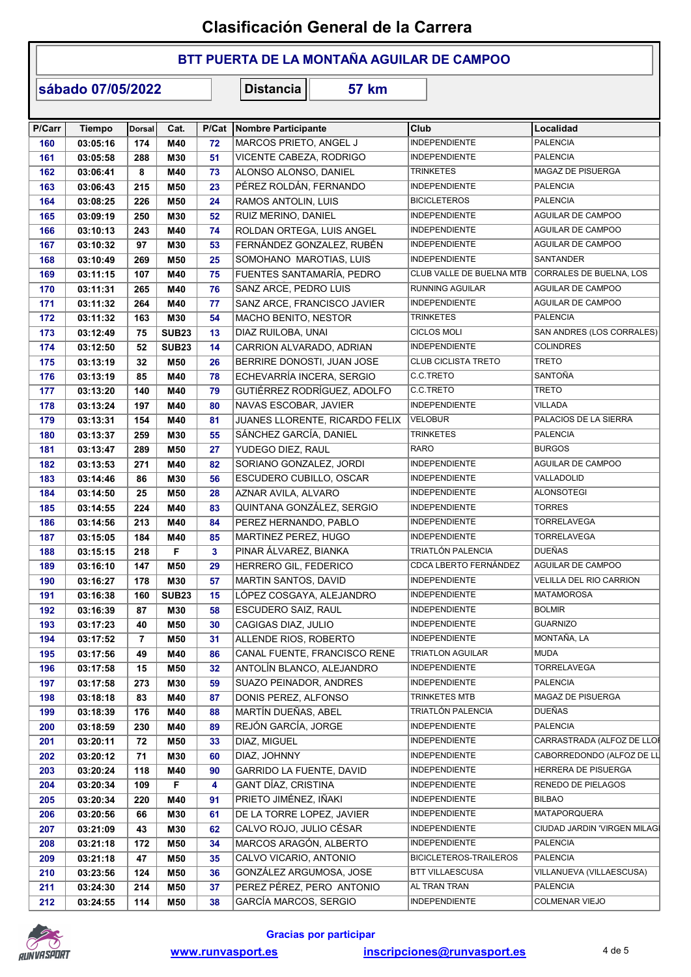### BTT PUERTA DE LA MONTAÑA AGUILAR DE CAMPOO

sábado 07/05/2022

| P/Carr | <b>Tiempo</b> | <b>Dorsal</b> | Cat.         | P/Cat | Nombre Participante            | Club                          | Localidad                           |
|--------|---------------|---------------|--------------|-------|--------------------------------|-------------------------------|-------------------------------------|
| 160    | 03:05:16      | 174           | M40          | 72    | MARCOS PRIETO, ANGEL J         | <b>INDEPENDIENTE</b>          | <b>PALENCIA</b>                     |
| 161    | 03:05:58      | 288           | M30          | 51    | VICENTE CABEZA, RODRIGO        | <b>INDEPENDIENTE</b>          | <b>PALENCIA</b>                     |
| 162    | 03:06:41      | 8             | M40          | 73    | ALONSO ALONSO, DANIEL          | <b>TRINKETES</b>              | MAGAZ DE PISUERGA                   |
| 163    | 03:06:43      | 215           | M50          | 23    | PÉREZ ROLDÁN, FERNANDO         | <b>INDEPENDIENTE</b>          | <b>PALENCIA</b>                     |
| 164    | 03:08:25      | 226           | M50          | 24    | RAMOS ANTOLIN, LUIS            | <b>BICICLETEROS</b>           | <b>PALENCIA</b>                     |
| 165    | 03:09:19      | 250           | M30          | 52    | RUIZ MERINO, DANIEL            | <b>INDEPENDIENTE</b>          | AGUILAR DE CAMPOO                   |
| 166    | 03:10:13      | 243           | M40          | 74    | ROLDAN ORTEGA, LUIS ANGEL      | <b>INDEPENDIENTE</b>          | AGUILAR DE CAMPOO                   |
| 167    | 03:10:32      | 97            | M30          | 53    | FERNÁNDEZ GONZALEZ, RUBÉN      | <b>INDEPENDIENTE</b>          | AGUILAR DE CAMPOO                   |
| 168    | 03:10:49      | 269           | M50          | 25    | SOMOHANO MAROTIAS, LUIS        | <b>INDEPENDIENTE</b>          | <b>SANTANDER</b>                    |
| 169    | 03:11:15      | 107           | M40          | 75    | FUENTES SANTAMARÍA. PEDRO      | CLUB VALLE DE BUELNA MTB      | CORRALES DE BUELNA, LOS             |
| 170    | 03:11:31      | 265           | M40          | 76    | SANZ ARCE, PEDRO LUIS          | <b>RUNNING AGUILAR</b>        | AGUILAR DE CAMPOO                   |
| 171    | 03:11:32      | 264           | M40          | 77    | SANZ ARCE, FRANCISCO JAVIER    | INDEPENDIENTE                 | AGUILAR DE CAMPOO                   |
| 172    | 03:11:32      | 163           | M30          | 54    | MACHO BENITO, NESTOR           | <b>TRINKETES</b>              | <b>PALENCIA</b>                     |
| 173    | 03:12:49      | 75            | <b>SUB23</b> | 13    | DIAZ RUILOBA, UNAI             | <b>CICLOS MOLI</b>            | SAN ANDRES (LOS CORRALES)           |
| 174    | 03:12:50      | 52            | <b>SUB23</b> | 14    | CARRION ALVARADO, ADRIAN       | <b>INDEPENDIENTE</b>          | <b>COLINDRES</b>                    |
| 175    | 03:13:19      | 32            | M50          | 26    | BERRIRE DONOSTI, JUAN JOSE     | <b>CLUB CICLISTA TRETO</b>    | <b>TRETO</b>                        |
| 176    | 03:13:19      | 85            | M40          | 78    | ECHEVARRÍA INCERA, SERGIO      | C.C.TRETO                     | <b>SANTOÑA</b>                      |
| 177    | 03:13:20      | 140           | M40          | 79    | GUTIÉRREZ RODRÍGUEZ, ADOLFO    | C.C.TRETO                     | <b>TRETO</b>                        |
| 178    | 03:13:24      | 197           | M40          | 80    | NAVAS ESCOBAR, JAVIER          | <b>INDEPENDIENTE</b>          | <b>VILLADA</b>                      |
| 179    | 03:13:31      | 154           | M40          | 81    | JUANES LLORENTE, RICARDO FELIX | <b>VELOBUR</b>                | PALACIOS DE LA SIERRA               |
| 180    | 03:13:37      | 259           | M30          | 55    | SÁNCHEZ GARCÍA, DANIEL         | <b>TRINKETES</b>              | <b>PALENCIA</b>                     |
| 181    | 03:13:47      | 289           | M50          | 27    | YUDEGO DIEZ, RAUL              | <b>RARO</b>                   | <b>BURGOS</b>                       |
|        |               |               |              |       |                                | <b>INDEPENDIENTE</b>          | AGUILAR DE CAMPOO                   |
| 182    | 03:13:53      | 271           | M40          | 82    | SORIANO GONZALEZ, JORDI        | <b>INDEPENDIENTE</b>          | VALLADOLID                          |
| 183    | 03:14:46      | 86<br>25      | M30          | 56    | ESCUDERO CUBILLO, OSCAR        | <b>INDEPENDIENTE</b>          | <b>ALONSOTEGI</b>                   |
| 184    | 03:14:50      |               | M50          | 28    | AZNAR AVILA, ALVARO            |                               |                                     |
| 185    | 03:14:55      | 224           | M40          | 83    | QUINTANA GONZÁLEZ, SERGIO      | <b>INDEPENDIENTE</b>          | <b>TORRES</b>                       |
| 186    | 03:14:56      | 213           | M40          | 84    | PEREZ HERNANDO, PABLO          | <b>INDEPENDIENTE</b>          | <b>TORRELAVEGA</b>                  |
| 187    | 03:15:05      | 184           | M40          | 85    | MARTINEZ PEREZ, HUGO           | INDEPENDIENTE                 | <b>TORRELAVEGA</b><br><b>DUEÑAS</b> |
| 188    | 03:15:15      | 218           | F            | 3     | PINAR ÁLVAREZ, BIANKA          | TRIATLÓN PALENCIA             |                                     |
| 189    | 03:16:10      | 147           | M50          | 29    | HERRERO GIL, FEDERICO          | CDCA LBERTO FERNÁNDEZ         | AGUILAR DE CAMPOO                   |
| 190    | 03:16:27      | 178           | M30          | 57    | MARTIN SANTOS, DAVID           | <b>INDEPENDIENTE</b>          | VELILLA DEL RIO CARRION             |
| 191    | 03:16:38      | 160           | <b>SUB23</b> | 15    | LÓPEZ COSGAYA, ALEJANDRO       | INDEPENDIENTE                 | <b>MATAMOROSA</b>                   |
| 192    | 03:16:39      | 87            | M30          | 58    | ESCUDERO SAIZ, RAUL            | <b>INDEPENDIENTE</b>          | <b>BOLMIR</b>                       |
| 193    | 03:17:23      | 40            | M50          | 30    | CAGIGAS DIAZ, JULIO            | <b>INDEPENDIENTE</b>          | <b>GUARNIZO</b>                     |
| 194    | 03:17:52      | 7             | M50          | 31    | ALLENDE RIOS, ROBERTO          | <b>INDEPENDIENTE</b>          | MONTAÑA, LA                         |
| 195    | 03:17:56      | 49            | M40          | 86    | CANAL FUENTE, FRANCISCO RENE   | <b>TRIATLON AGUILAR</b>       | <b>MUDA</b>                         |
| 196    | 03:17:58      | 15            | M50          | 32    | ANTOLÍN BLANCO, ALEJANDRO      | INDEPENDIENTE                 | TORRELAVEGA                         |
| 197    | 03:17:58      | 273           | M30          | 59    | SUAZO PEINADOR, ANDRES         | <b>INDEPENDIENTE</b>          | <b>PALENCIA</b>                     |
| 198    | 03:18:18      | 83            | M40          | 87    | DONIS PEREZ, ALFONSO           | TRINKETES MTB                 | MAGAZ DE PISUERGA                   |
| 199    | 03:18:39      | 176           | M40          | 88    | MARTÍN DUEÑAS, ABEL            | TRIATLÓN PALENCIA             | <b>DUEÑAS</b>                       |
| 200    | 03:18:59      | 230           | M40          | 89    | REJÓN GARCÍA, JORGE            | <b>INDEPENDIENTE</b>          | <b>PALENCIA</b>                     |
| 201    | 03:20:11      | 72            | M50          | 33    | DIAZ, MIGUEL                   | INDEPENDIENTE                 | CARRASTRADA (ALFOZ DE LLOI          |
| 202    | 03:20:12      | 71            | M30          | 60    | DIAZ, JOHNNY                   | <b>INDEPENDIENTE</b>          | CABORREDONDO (ALFOZ DE LL           |
| 203    | 03:20:24      | 118           | M40          | 90    | GARRIDO LA FUENTE, DAVID       | <b>INDEPENDIENTE</b>          | HERRERA DE PISUERGA                 |
| 204    | 03:20:34      | 109           | F            | 4     | GANT DÍAZ, CRISTINA            | <b>INDEPENDIENTE</b>          | RENEDO DE PIELAGOS                  |
| 205    | 03:20:34      | 220           | M40          | 91    | PRIETO JIMÉNEZ, IÑAKI          | <b>INDEPENDIENTE</b>          | <b>BILBAO</b>                       |
| 206    | 03:20:56      | 66            | M30          | 61    | DE LA TORRE LOPEZ, JAVIER      | <b>INDEPENDIENTE</b>          | <b>MATAPORQUERA</b>                 |
| 207    | 03:21:09      | 43            | M30          | 62    | CALVO ROJO, JULIO CÉSAR        | <b>INDEPENDIENTE</b>          | CIUDAD JARDIN 'VIRGEN MILAGÍ        |
| 208    | 03:21:18      | 172           | M50          | 34    | MARCOS ARAGÓN, ALBERTO         | <b>INDEPENDIENTE</b>          | <b>PALENCIA</b>                     |
| 209    | 03:21:18      | 47            | M50          | 35    | CALVO VICARIO, ANTONIO         | <b>BICICLETEROS-TRAILEROS</b> | <b>PALENCIA</b>                     |
| 210    | 03:23:56      | 124           | M50          | 36    | GONZÁLEZ ARGUMOSA, JOSE        | <b>BTT VILLAESCUSA</b>        | VILLANUEVA (VILLAESCUSA)            |
| 211    | 03:24:30      | 214           | M50          | 37    | PEREZ PÉREZ, PERO ANTONIO      | AL TRAN TRAN                  | <b>PALENCIA</b>                     |
| 212    | 03:24:55      | 114           | M50          | 38    | GARCÍA MARCOS, SERGIO          | <b>INDEPENDIENTE</b>          | <b>COLMENAR VIEJO</b>               |